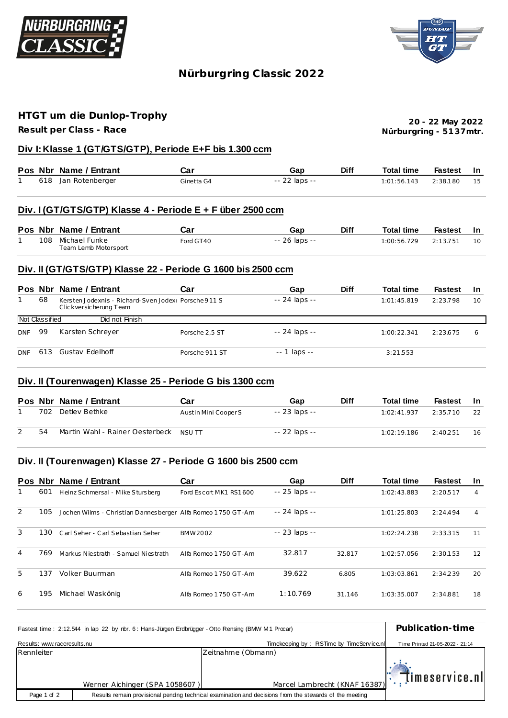



# **Nürburgring C lassic 2022**

### **HTGT um die Dunlop-Trophy**

**Result per Class - Race**

**Nürburgring - 51 37mtr. 20 - 22 May 2022**

### **Div I: Klasse 1 (GT/GTS/GTP), Periode E+F bis 1.300 ccm**

|  | Pos Nbr Name / Entrant | Car        | Gap           | <b>Diff</b> | Total time               | Fastest In |    |
|--|------------------------|------------|---------------|-------------|--------------------------|------------|----|
|  | 618 Jan Rotenberger    | Ginetta G4 | -- 22 laps -- |             | $1:01:56.143$ $2:38.180$ |            | 15 |

#### **Div. I (GT/GTS/GTP) Klasse 4 - Periode E + F über 2500 ccm**

|  | Pos Nbr Name / Entrant | Car       | Gap           | <b>Diff</b> | Total time  | <b>Fastest</b> |    |
|--|------------------------|-----------|---------------|-------------|-------------|----------------|----|
|  | 108 Michael Funke      | Ford GT40 | -- 26 laps -- |             | 1:00:56.729 | 2:13.751       | 10 |
|  | Team Lemb Motorsport   |           |               |             |             |                |    |

#### **Div. II (GT/GTS/GTP) Klasse 22 - Periode G 1600 bis 2500 ccm**

|            |                | Pos Nbr Name / Entrant                                                           | Car            | Gap           | <b>Diff</b> | <b>Total time</b> | <b>Fastest</b> | -In |
|------------|----------------|----------------------------------------------------------------------------------|----------------|---------------|-------------|-------------------|----------------|-----|
|            | 68             | Kersten Jodexnis - Richard-Sven JodexL Porsche 911 S<br>Clic kversic herung Team |                | -- 24 laps -- |             | 1:01:45.819       | 2:23.798       | 10  |
|            | Not Classified | Did not Finish                                                                   |                |               |             |                   |                |     |
| <b>DNF</b> | 99             | Karsten Schreyer                                                                 | Porsche 2.5 ST | -- 24 laps -- |             | 1:00:22.341       | 2:23.675       | 6   |
| <b>DNF</b> | 613            | <b>Gustav Edelhoff</b>                                                           | Porsche 911 ST | $-1$ laps $-$ |             | 3:21.553          |                |     |

### **Div. II (Tourenwagen) Klasse 25 - Periode G bis 1300 ccm**

|     | Pos Nbr Name / Entrant                 | Car                  | Gap           | <b>Diff</b> | <b>Total time</b> | Fastest  | <b>In</b> |
|-----|----------------------------------------|----------------------|---------------|-------------|-------------------|----------|-----------|
| 702 | Detlev Bethke                          | Austin Mini Cooper S | -- 23 laps -- |             | 1:02:41.937       | 2:35.710 | 22        |
| 54  | Martin Wahl - Rainer Oesterbeck NSU TT |                      | -- 22 laps -- |             | 1:02:19.186       | 2:40.251 | 16        |

### **Div. II (Tourenwagen) Klasse 27 - Periode G 1600 bis 2500 ccm**

|   |     | Pos Nbr Name / Entrant                                      | Car                    | Gap           | <b>Diff</b> | <b>Total time</b> | <b>Fastest</b> | <b>In</b> |
|---|-----|-------------------------------------------------------------|------------------------|---------------|-------------|-------------------|----------------|-----------|
|   | 601 | Heinz Schmersal - Mike Stursberg                            | Ford Escort MK1 RS1600 | -- 25 laps -- |             | 1:02:43.883       | 2:20.517       | 4         |
| 2 | 105 | Jochen Wilms - Christian Dannesberger Alfa Romeo 1750 GT-Am |                        | -- 24 laps -- |             | 1:01:25.803       | 2:24.494       | 4         |
| 3 | 130 | Carl Seher - Carl Sebastian Seher                           | BMW2002                | -- 23 laps -- |             | 1:02:24.238       | 2:33.315       | 11        |
| 4 | 769 | Markus Niestrath - Samuel Niestrath                         | Alfa Romeo 1750 GT-Am  | 32.817        | 32.817      | 1:02:57.056       | 2:30.153       | 12        |
| 5 | 137 | Volker Buurman                                              | Alfa Romeo 1750 GT-Am  | 39.622        | 6.805       | 1:03:03.861       | 2:34.239       | 20        |
| 6 | 195 | Michael Waskönig                                            | Alfa Romeo 1750 GT-Am  | 1:10.769      | 31.146      | 1:03:35.007       | 2:34.881       | 18        |

| Fastest time: 2:12.544 in lap 22 by nbr. 6: Hans-Jürgen Erdbrügger - Otto Rensing (BMW M1 Procar) | Publication-time               |                                                                                                         |                                 |
|---------------------------------------------------------------------------------------------------|--------------------------------|---------------------------------------------------------------------------------------------------------|---------------------------------|
| Results: www.raceresults.nu                                                                       |                                | Timekeeping by: RSTime by TimeService.nl                                                                | Time Printed 21-05-2022 - 21:14 |
| Rennleiter                                                                                        |                                | Zeitnahme (Obmann)                                                                                      |                                 |
|                                                                                                   |                                | Marcel Lambrecht (KNAF 16387): [IMESETVICE.NI                                                           |                                 |
|                                                                                                   | Werner Aichinger (SPA 1058607) |                                                                                                         |                                 |
| Page 1 of 2                                                                                       |                                | Results remain provisional pending technical examination and decisions from the stewards of the meeting |                                 |